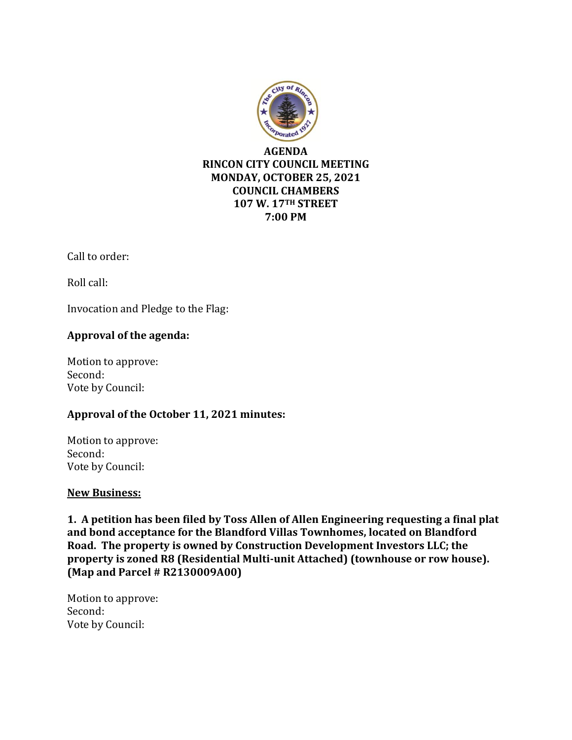

Call to order:

Roll call:

Invocation and Pledge to the Flag:

# **Approval of the agenda:**

Motion to approve: Second: Vote by Council:

# **Approval of the October 11, 2021 minutes:**

Motion to approve: Second: Vote by Council:

# **New Business:**

**1. A petition has been filed by Toss Allen of Allen Engineering requesting a final plat and bond acceptance for the Blandford Villas Townhomes, located on Blandford Road. The property is owned by Construction Development Investors LLC; the property is zoned R8 (Residential Multi-unit Attached) (townhouse or row house). (Map and Parcel # R2130009A00)**

Motion to approve: Second: Vote by Council: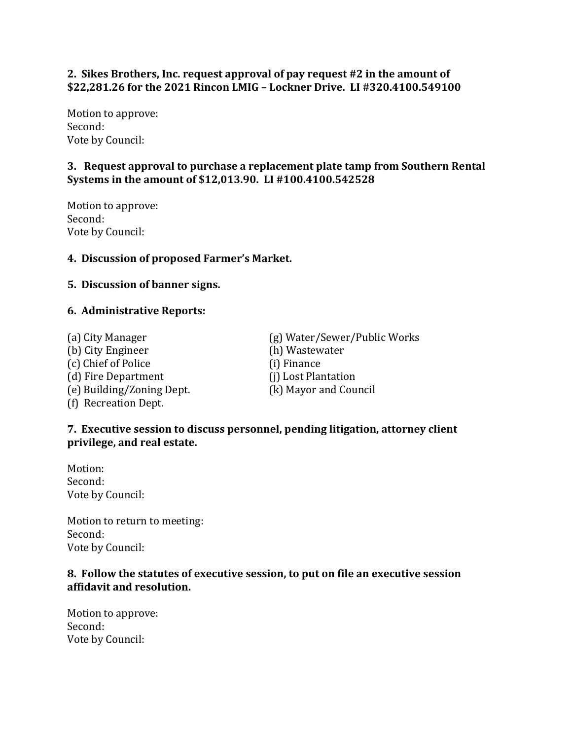# **2. Sikes Brothers, Inc. request approval of pay request #2 in the amount of \$22,281.26 for the 2021 Rincon LMIG – Lockner Drive. LI #320.4100.549100**

Motion to approve: Second: Vote by Council:

# **3. Request approval to purchase a replacement plate tamp from Southern Rental Systems in the amount of \$12,013.90. LI #100.4100.542528**

Motion to approve: Second: Vote by Council:

# **4. Discussion of proposed Farmer's Market.**

#### **5. Discussion of banner signs.**

#### **6. Administrative Reports:**

(b) City Engineer (h) Wastewater (c) Chief of Police (i) Finance (d) Fire Department (j) Lost Plantation (e) Building/Zoning Dept. (k) Mayor and Council (f) Recreation Dept.

(a) City Manager (g) Water/Sewer/Public Works

# **7. Executive session to discuss personnel, pending litigation, attorney client privilege, and real estate.**

Motion: Second: Vote by Council:

Motion to return to meeting: Second: Vote by Council:

# **8. Follow the statutes of executive session, to put on file an executive session affidavit and resolution.**

Motion to approve: Second: Vote by Council: